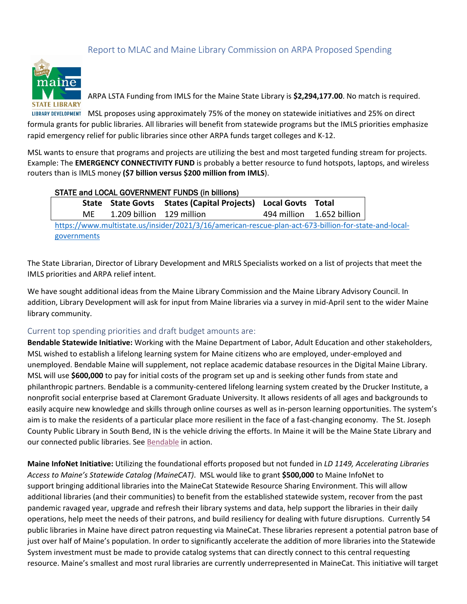## Report to MLAC and Maine Library Commission on ARPA Proposed Spending



ARPA LSTA Funding from IMLS for the Maine State Library is **\$2,294,177.00**. No match is required.

LIBRARY DEVELOPMENT MSL proposes using approximately 75% of the money on statewide initiatives and 25% on direct formula grants for public libraries. All libraries will benefit from statewide programs but the IMLS priorities emphasize rapid emergency relief for public libraries since other ARPA funds target colleges and K-12.

MSL wants to ensure that programs and projects are utilizing the best and most targeted funding stream for projects. Example: The **EMERGENCY CONNECTIVITY FUND** is probably a better resource to fund hotspots, laptops, and wireless routers than is IMLS money **(\$7 billion versus \$200 million from IMLS**).

| STATE and LOCAL GOVERNMENT FUNDS (in billions)                                                        |       |                           |                                                         |  |                           |  |  |  |  |
|-------------------------------------------------------------------------------------------------------|-------|---------------------------|---------------------------------------------------------|--|---------------------------|--|--|--|--|
|                                                                                                       | State |                           | State Govts States (Capital Projects) Local Govts Total |  |                           |  |  |  |  |
|                                                                                                       | ME    | 1.209 billion 129 million |                                                         |  | 494 million 1.652 billion |  |  |  |  |
| https://www.multistate.us/insider/2021/3/16/american-rescue-plan-act-673-billion-for-state-and-local- |       |                           |                                                         |  |                           |  |  |  |  |
| governments                                                                                           |       |                           |                                                         |  |                           |  |  |  |  |

The State Librarian, Director of Library Development and MRLS Specialists worked on a list of projects that meet the IMLS priorities and ARPA relief intent.

We have sought additional ideas from the Maine Library Commission and the Maine Library Advisory Council. In addition, Library Development will ask for input from Maine libraries via a survey in mid-April sent to the wider Maine library community.

## Current top spending priorities and draft budget amounts are:

**Bendable Statewide Initiative:** Working with the Maine Department of Labor, Adult Education and other stakeholders, MSL wished to establish a lifelong learning system for Maine citizens who are employed, under-employed and unemployed. Bendable Maine will supplement, not replace academic database resources in the Digital Maine Library. MSL will use **\$600,000** to pay for initial costs of the program set up and is seeking other funds from state and philanthropic partners. Bendable is a community-centered lifelong learning system created by the Drucker Institute, a nonprofit social enterprise based at Claremont Graduate University. It allows residents of all ages and backgrounds to easily acquire new knowledge and skills through online courses as well as in-person learning opportunities. The system's aim is to make the residents of a particular place more resilient in the face of a fast-changing economy. The St. Joseph County Public Library in South Bend, IN is the vehicle driving the efforts. In Maine it will be the Maine State Library and our connected public libraries. See [Bendable](https://www.bendable.com/) in action.

**Maine InfoNet Initiative:** Utilizing the foundational efforts proposed but not funded in *LD 1149, Accelerating Libraries Access to Maine's Statewide Catalog (MaineCAT)*. MSL would like to grant **\$500,000** to Maine InfoNet to support bringing additional libraries into the MaineCat Statewide Resource Sharing Environment. This will allow additional libraries (and their communities) to benefit from the established statewide system, recover from the past pandemic ravaged year, upgrade and refresh their library systems and data, help support the libraries in their daily operations, help meet the needs of their patrons, and build resiliency for dealing with future disruptions. Currently 54 public libraries in Maine have direct patron requesting via MaineCat. These libraries represent a potential patron base of just over half of Maine's population. In order to significantly accelerate the addition of more libraries into the Statewide System investment must be made to provide catalog systems that can directly connect to this central requesting resource. Maine's smallest and most rural libraries are currently underrepresented in MaineCat. This initiative will target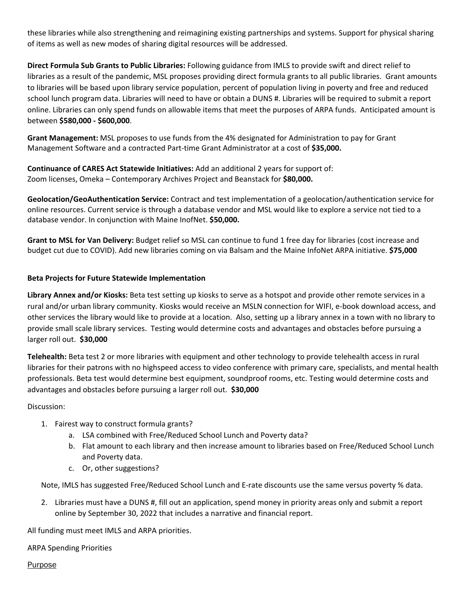these libraries while also strengthening and reimagining existing partnerships and systems. Support for physical sharing of items as well as new modes of sharing digital resources will be addressed.

**Direct Formula Sub Grants to Public Libraries:** Following guidance from IMLS to provide swift and direct relief to libraries as a result of the pandemic, MSL proposes providing direct formula grants to all public libraries. Grant amounts to libraries will be based upon library service population, percent of population living in poverty and free and reduced school lunch program data. Libraries will need to have or obtain a DUNS #. Libraries will be required to submit a report online. Libraries can only spend funds on allowable items that meet the purposes of ARPA funds. Anticipated amount is between **\$580,000 - \$600,000**.

**Grant Management:** MSL proposes to use funds from the 4% designated for Administration to pay for Grant Management Software and a contracted Part-time Grant Administrator at a cost of **\$35,000.**

**Continuance of CARES Act Statewide Initiatives:** Add an additional 2 years for support of: Zoom licenses, Omeka – Contemporary Archives Project and Beanstack for **\$80,000.**

**Geolocation/GeoAuthentication Service:** Contract and test implementation of a geolocation/authentication service for online resources. Current service is through a database vendor and MSL would like to explore a service not tied to a database vendor. In conjunction with Maine InofNet. **\$50,000.**

**Grant to MSL for Van Delivery:** Budget relief so MSL can continue to fund 1 free day for libraries (cost increase and budget cut due to COVID). Add new libraries coming on via Balsam and the Maine InfoNet ARPA initiative. **\$75,000**

## **Beta Projects for Future Statewide Implementation**

**Library Annex and/or Kiosks:** Beta test setting up kiosks to serve as a hotspot and provide other remote services in a rural and/or urban library community. Kiosks would receive an MSLN connection for WIFI, e-book download access, and other services the library would like to provide at a location. Also, setting up a library annex in a town with no library to provide small scale library services. Testing would determine costs and advantages and obstacles before pursuing a larger roll out. **\$30,000**

**Telehealth:** Beta test 2 or more libraries with equipment and other technology to provide telehealth access in rural libraries for their patrons with no highspeed access to video conference with primary care, specialists, and mental health professionals. Beta test would determine best equipment, soundproof rooms, etc. Testing would determine costs and advantages and obstacles before pursuing a larger roll out. **\$30,000**

Discussion:

- 1. Fairest way to construct formula grants?
	- a. LSA combined with Free/Reduced School Lunch and Poverty data?
	- b. Flat amount to each library and then increase amount to libraries based on Free/Reduced School Lunch and Poverty data.
	- c. Or, other suggestions?

Note, IMLS has suggested Free/Reduced School Lunch and E-rate discounts use the same versus poverty % data.

2. Libraries must have a DUNS #, fill out an application, spend money in priority areas only and submit a report online by September 30, 2022 that includes a narrative and financial report.

All funding must meet IMLS and ARPA priorities.

ARPA Spending Priorities

Purpose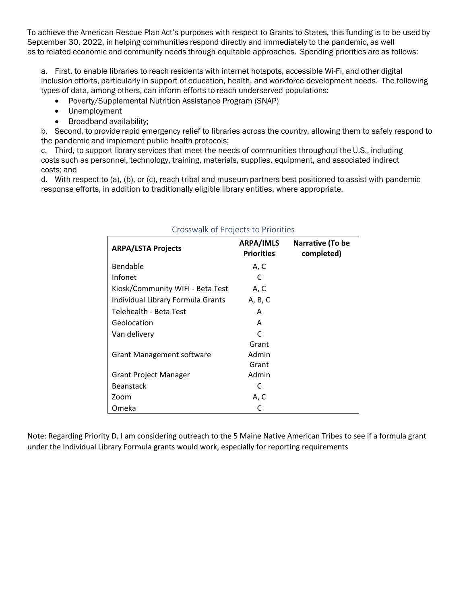To achieve the American Rescue Plan Act's purposes with respect to Grants to States, this funding is to be used by September 30, 2022, in helping communities respond directly and immediately to the pandemic, as well as to related economic and community needs through equitable approaches.  Spending priorities are as follows:

a. First, to enable libraries to reach residents with internet hotspots, accessible Wi-Fi, and other digital inclusion efforts, particularly in support of education, health, and workforce development needs. The following types of data, among others, can inform efforts to reach underserved populations:   

- Poverty/Supplemental Nutrition Assistance Program (SNAP)
- Unemployment
- Broadband availability;

b. Second, to provide rapid emergency relief to libraries across the country, allowing them to safely respond to the pandemic and implement public health protocols;

c. Third, to support library services that meet the needs of communities throughout the U.S., including costs such as personnel, technology, training, materials, supplies, equipment, and associated indirect costs; and

d. With respect to (a), (b), or (c), reach tribal and museum partners best positioned to assist with pandemic response efforts, in addition to traditionally eligible library entities, where appropriate.

| <b>ARPA/LSTA Projects</b>         | ARPA/IMLS<br><b>Priorities</b> | Narrative (To be<br>completed) |
|-----------------------------------|--------------------------------|--------------------------------|
| Bendable                          | A, C                           |                                |
| Infonet                           | C                              |                                |
| Kiosk/Community WIFI - Beta Test  | A, C                           |                                |
| Individual Library Formula Grants | A, B, C                        |                                |
| Telehealth - Beta Test            | Α                              |                                |
| Geolocation                       | A                              |                                |
| Van delivery                      | C                              |                                |
|                                   | Grant                          |                                |
| <b>Grant Management software</b>  | Admin                          |                                |
|                                   | Grant                          |                                |
| <b>Grant Project Manager</b>      | Admin                          |                                |
| <b>Beanstack</b>                  | C                              |                                |
| Zoom                              | A, C                           |                                |
| Omeka                             | C                              |                                |

## Crosswalk of Projects to Priorities

Note: Regarding Priority D. I am considering outreach to the 5 Maine Native American Tribes to see if a formula grant under the Individual Library Formula grants would work, especially for reporting requirements